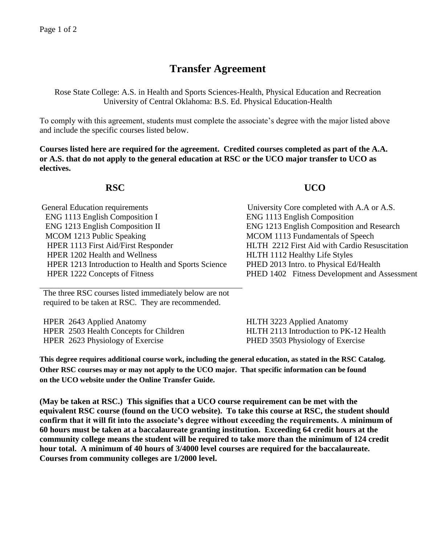## **Transfer Agreement**

Rose State College: A.S. in Health and Sports Sciences-Health, Physical Education and Recreation University of Central Oklahoma: B.S. Ed. Physical Education-Health

To comply with this agreement, students must complete the associate's degree with the major listed above and include the specific courses listed below.

**Courses listed here are required for the agreement. Credited courses completed as part of the A.A. or A.S. that do not apply to the general education at RSC or the UCO major transfer to UCO as electives.**

## **RSC UCO**

General Education requirements University Core completed with A.A or A.S. ENG 1113 English Composition I ENG 1213 English Composition II MCOM 1213 Public Speaking MCOM 1113 Fundamentals of Speech HPER 1113 First Aid/First Responder HPER 1202 Health and Wellness HPER 1213 Introduction to Health and Sports Science HPER 1222 Concepts of Fitness

ENG 1113 English Composition ENG 1213 English Composition and Research HLTH 2212 First Aid with Cardio Resuscitation HLTH 1112 Healthy Life Styles PHED 2013 Intro. to Physical Ed/Health PHED 1402 Fitness Development and Assessment

The three RSC courses listed immediately below are not required to be taken at RSC. They are recommended.

HPER 2643 Applied Anatomy HPER 2503 Health Concepts for Children HPER 2623 Physiology of Exercise

HLTH 3223 Applied Anatomy HLTH 2113 Introduction to PK-12 Health PHED 3503 Physiology of Exercise

**This degree requires additional course work, including the general education, as stated in the RSC Catalog. Other RSC courses may or may not apply to the UCO major. That specific information can be found on the UCO website under the Online Transfer Guide.**

**(May be taken at RSC.) This signifies that a UCO course requirement can be met with the equivalent RSC course (found on the UCO website). To take this course at RSC, the student should confirm that it will fit into the associate's degree without exceeding the requirements. A minimum of 60 hours must be taken at a baccalaureate granting institution. Exceeding 64 credit hours at the community college means the student will be required to take more than the minimum of 124 credit hour total. A minimum of 40 hours of 3/4000 level courses are required for the baccalaureate. Courses from community colleges are 1/2000 level.**